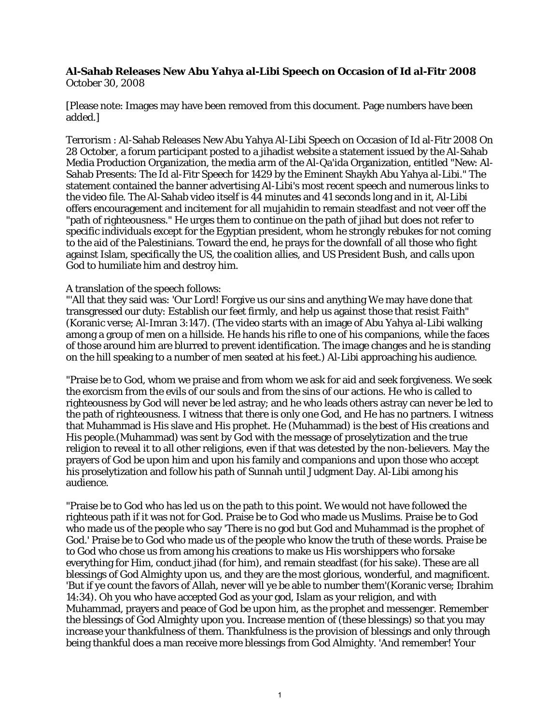## **Al-Sahab Releases New Abu Yahya al-Libi Speech on Occasion of Id al-Fitr 2008** October 30, 2008

[Please note: Images may have been removed from this document. Page numbers have been added.]

Terrorism : Al-Sahab Releases New Abu Yahya Al-Libi Speech on Occasion of Id al-Fitr 2008 On 28 October, a forum participant posted to a jihadist website a statement issued by the Al-Sahab Media Production Organization, the media arm of the Al-Qa'ida Organization, entitled "New: Al-Sahab Presents: The Id al-Fitr Speech for 1429 by the Eminent Shaykh Abu Yahya al-Libi." The statement contained the banner advertising Al-Libi's most recent speech and numerous links to the video file. The Al-Sahab video itself is 44 minutes and 41 seconds long and in it, Al-Libi offers encouragement and incitement for all mujahidin to remain steadfast and not veer off the "path of righteousness." He urges them to continue on the path of jihad but does not refer to specific individuals except for the Egyptian president, whom he strongly rebukes for not coming to the aid of the Palestinians. Toward the end, he prays for the downfall of all those who fight against Islam, specifically the US, the coalition allies, and US President Bush, and calls upon God to humiliate him and destroy him.

## A translation of the speech follows:

"'All that they said was: 'Our Lord! Forgive us our sins and anything We may have done that transgressed our duty: Establish our feet firmly, and help us against those that resist Faith" (Koranic verse; Al-Imran 3:147). (The video starts with an image of Abu Yahya al-Libi walking among a group of men on a hillside. He hands his rifle to one of his companions, while the faces of those around him are blurred to prevent identification. The image changes and he is standing on the hill speaking to a number of men seated at his feet.) Al-Libi approaching his audience.

"Praise be to God, whom we praise and from whom we ask for aid and seek forgiveness. We seek the exorcism from the evils of our souls and from the sins of our actions. He who is called to righteousness by God will never be led astray; and he who leads others astray can never be led to the path of righteousness. I witness that there is only one God, and He has no partners. I witness that Muhammad is His slave and His prophet. He (Muhammad) is the best of His creations and His people.(Muhammad) was sent by God with the message of proselytization and the true religion to reveal it to all other religions, even if that was detested by the non-believers. May the prayers of God be upon him and upon his family and companions and upon those who accept his proselytization and follow his path of Sunnah until Judgment Day. Al-Libi among his audience.

"Praise be to God who has led us on the path to this point. We would not have followed the righteous path if it was not for God. Praise be to God who made us Muslims. Praise be to God who made us of the people who say 'There is no god but God and Muhammad is the prophet of God.' Praise be to God who made us of the people who know the truth of these words. Praise be to God who chose us from among his creations to make us His worshippers who forsake everything for Him, conduct jihad (for him), and remain steadfast (for his sake). These are all blessings of God Almighty upon us, and they are the most glorious, wonderful, and magnificent. 'But if ye count the favors of Allah, never will ye be able to number them'(Koranic verse; Ibrahim 14:34). Oh you who have accepted God as your god, Islam as your religion, and with Muhammad, prayers and peace of God be upon him, as the prophet and messenger. Remember the blessings of God Almighty upon you. Increase mention of (these blessings) so that you may increase your thankfulness of them. Thankfulness is the provision of blessings and only through being thankful does a man receive more blessings from God Almighty. 'And remember! Your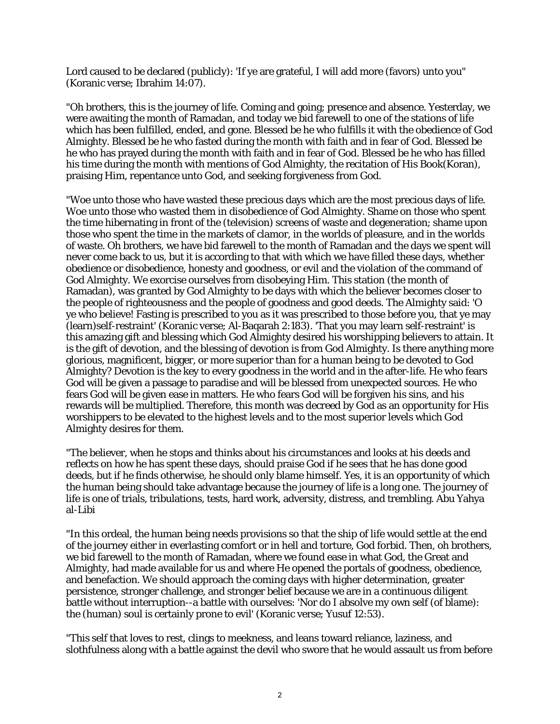Lord caused to be declared (publicly): 'If ye are grateful, I will add more (favors) unto you" (Koranic verse; Ibrahim 14:07).

"Oh brothers, this is the journey of life. Coming and going; presence and absence. Yesterday, we were awaiting the month of Ramadan, and today we bid farewell to one of the stations of life which has been fulfilled, ended, and gone. Blessed be he who fulfills it with the obedience of God Almighty. Blessed be he who fasted during the month with faith and in fear of God. Blessed be he who has prayed during the month with faith and in fear of God. Blessed be he who has filled his time during the month with mentions of God Almighty, the recitation of His Book(Koran), praising Him, repentance unto God, and seeking forgiveness from God.

"Woe unto those who have wasted these precious days which are the most precious days of life. Woe unto those who wasted them in disobedience of God Almighty. Shame on those who spent the time hibernating in front of the (television) screens of waste and degeneration; shame upon those who spent the time in the markets of clamor, in the worlds of pleasure, and in the worlds of waste. Oh brothers, we have bid farewell to the month of Ramadan and the days we spent will never come back to us, but it is according to that with which we have filled these days, whether obedience or disobedience, honesty and goodness, or evil and the violation of the command of God Almighty. We exorcise ourselves from disobeying Him. This station (the month of Ramadan), was granted by God Almighty to be days with which the believer becomes closer to the people of righteousness and the people of goodness and good deeds. The Almighty said: 'O ye who believe! Fasting is prescribed to you as it was prescribed to those before you, that ye may (learn)self-restraint' (Koranic verse; Al-Baqarah 2:183). 'That you may learn self-restraint' is this amazing gift and blessing which God Almighty desired his worshipping believers to attain. It is the gift of devotion, and the blessing of devotion is from God Almighty. Is there anything more glorious, magnificent, bigger, or more superior than for a human being to be devoted to God Almighty? Devotion is the key to every goodness in the world and in the after-life. He who fears God will be given a passage to paradise and will be blessed from unexpected sources. He who fears God will be given ease in matters. He who fears God will be forgiven his sins, and his rewards will be multiplied. Therefore, this month was decreed by God as an opportunity for His worshippers to be elevated to the highest levels and to the most superior levels which God Almighty desires for them.

"The believer, when he stops and thinks about his circumstances and looks at his deeds and reflects on how he has spent these days, should praise God if he sees that he has done good deeds, but if he finds otherwise, he should only blame himself. Yes, it is an opportunity of which the human being should take advantage because the journey of life is a long one. The journey of life is one of trials, tribulations, tests, hard work, adversity, distress, and trembling. Abu Yahya al-Libi

"In this ordeal, the human being needs provisions so that the ship of life would settle at the end of the journey either in everlasting comfort or in hell and torture, God forbid. Then, oh brothers, we bid farewell to the month of Ramadan, where we found ease in what God, the Great and Almighty, had made available for us and where He opened the portals of goodness, obedience, and benefaction. We should approach the coming days with higher determination, greater persistence, stronger challenge, and stronger belief because we are in a continuous diligent battle without interruption--a battle with ourselves: 'Nor do I absolve my own self (of blame): the (human) soul is certainly prone to evil' (Koranic verse; Yusuf 12:53).

"This self that loves to rest, clings to meekness, and leans toward reliance, laziness, and slothfulness along with a battle against the devil who swore that he would assault us from before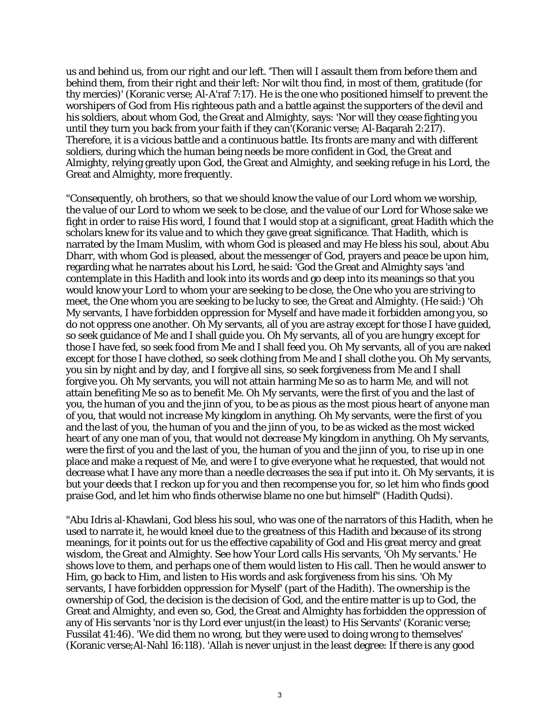us and behind us, from our right and our left. 'Then will I assault them from before them and behind them, from their right and their left: Nor wilt thou find, in most of them, gratitude (for thy mercies)' (Koranic verse; Al-A'raf 7:17). He is the one who positioned himself to prevent the worshipers of God from His righteous path and a battle against the supporters of the devil and his soldiers, about whom God, the Great and Almighty, says: 'Nor will they cease fighting you until they turn you back from your faith if they can'(Koranic verse; Al-Baqarah 2:217). Therefore, it is a vicious battle and a continuous battle. Its fronts are many and with different soldiers, during which the human being needs be more confident in God, the Great and Almighty, relying greatly upon God, the Great and Almighty, and seeking refuge in his Lord, the Great and Almighty, more frequently.

"Consequently, oh brothers, so that we should know the value of our Lord whom we worship, the value of our Lord to whom we seek to be close, and the value of our Lord for Whose sake we fight in order to raise His word, I found that I would stop at a significant, great Hadith which the scholars knew for its value and to which they gave great significance. That Hadith, which is narrated by the Imam Muslim, with whom God is pleased and may He bless his soul, about Abu Dharr, with whom God is pleased, about the messenger of God, prayers and peace be upon him, regarding what he narrates about his Lord, he said: 'God the Great and Almighty says 'and contemplate in this Hadith and look into its words and go deep into its meanings so that you would know your Lord to whom your are seeking to be close, the One who you are striving to meet, the One whom you are seeking to be lucky to see, the Great and Almighty. (He said:) 'Oh My servants, I have forbidden oppression for Myself and have made it forbidden among you, so do not oppress one another. Oh My servants, all of you are astray except for those I have guided, so seek guidance of Me and I shall guide you. Oh My servants, all of you are hungry except for those I have fed, so seek food from Me and I shall feed you. Oh My servants, all of you are naked except for those I have clothed, so seek clothing from Me and I shall clothe you. Oh My servants, you sin by night and by day, and I forgive all sins, so seek forgiveness from Me and I shall forgive you. Oh My servants, you will not attain harming Me so as to harm Me, and will not attain benefiting Me so as to benefit Me. Oh My servants, were the first of you and the last of you, the human of you and the jinn of you, to be as pious as the most pious heart of anyone man of you, that would not increase My kingdom in anything. Oh My servants, were the first of you and the last of you, the human of you and the jinn of you, to be as wicked as the most wicked heart of any one man of you, that would not decrease My kingdom in anything. Oh My servants, were the first of you and the last of you, the human of you and the jinn of you, to rise up in one place and make a request of Me, and were I to give everyone what he requested, that would not decrease what I have any more than a needle decreases the sea if put into it. Oh My servants, it is but your deeds that I reckon up for you and then recompense you for, so let him who finds good praise God, and let him who finds otherwise blame no one but himself" (Hadith Qudsi).

"Abu Idris al-Khawlani, God bless his soul, who was one of the narrators of this Hadith, when he used to narrate it, he would kneel due to the greatness of this Hadith and because of its strong meanings, for it points out for us the effective capability of God and His great mercy and great wisdom, the Great and Almighty. See how Your Lord calls His servants, 'Oh My servants.' He shows love to them, and perhaps one of them would listen to His call. Then he would answer to Him, go back to Him, and listen to His words and ask forgiveness from his sins. 'Oh My servants, I have forbidden oppression for Myself' (part of the Hadith). The ownership is the ownership of God, the decision is the decision of God, and the entire matter is up to God, the Great and Almighty, and even so, God, the Great and Almighty has forbidden the oppression of any of His servants 'nor is thy Lord ever unjust(in the least) to His Servants' (Koranic verse; Fussilat 41:46). 'We did them no wrong, but they were used to doing wrong to themselves' (Koranic verse;Al-Nahl 16:118). 'Allah is never unjust in the least degree: If there is any good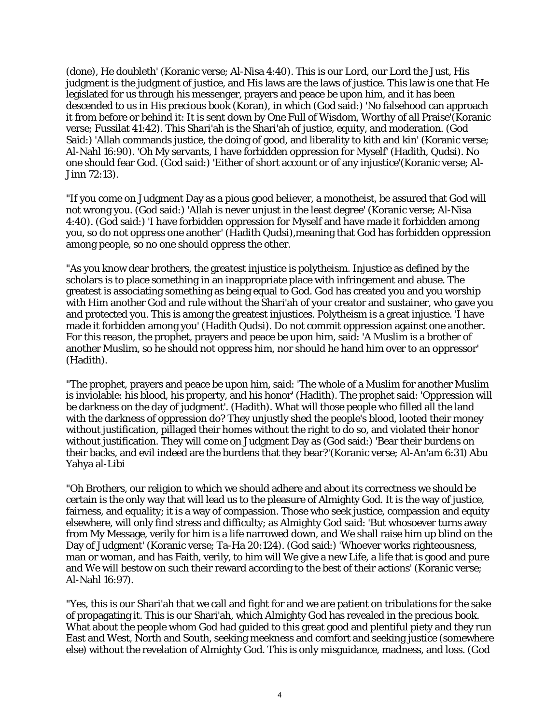(done), He doubleth' (Koranic verse; Al-Nisa 4:40). This is our Lord, our Lord the Just, His judgment is the judgment of justice, and His laws are the laws of justice. This law is one that He legislated for us through his messenger, prayers and peace be upon him, and it has been descended to us in His precious book (Koran), in which (God said:) 'No falsehood can approach it from before or behind it: It is sent down by One Full of Wisdom, Worthy of all Praise'(Koranic verse; Fussilat 41:42). This Shari'ah is the Shari'ah of justice, equity, and moderation. (God Said:) 'Allah commands justice, the doing of good, and liberality to kith and kin' (Koranic verse; Al-Nahl 16:90). 'Oh My servants, I have forbidden oppression for Myself' (Hadith, Qudsi). No one should fear God. (God said:) 'Either of short account or of any injustice'(Koranic verse; Al-Jinn 72:13).

"If you come on Judgment Day as a pious good believer, a monotheist, be assured that God will not wrong you. (God said:) 'Allah is never unjust in the least degree' (Koranic verse; Al-Nisa 4:40). (God said:) 'I have forbidden oppression for Myself and have made it forbidden among you, so do not oppress one another' (Hadith Qudsi),meaning that God has forbidden oppression among people, so no one should oppress the other.

"As you know dear brothers, the greatest injustice is polytheism. Injustice as defined by the scholars is to place something in an inappropriate place with infringement and abuse. The greatest is associating something as being equal to God. God has created you and you worship with Him another God and rule without the Shari'ah of your creator and sustainer, who gave you and protected you. This is among the greatest injustices. Polytheism is a great injustice. 'I have made it forbidden among you' (Hadith Qudsi). Do not commit oppression against one another. For this reason, the prophet, prayers and peace be upon him, said: 'A Muslim is a brother of another Muslim, so he should not oppress him, nor should he hand him over to an oppressor' (Hadith).

"The prophet, prayers and peace be upon him, said: 'The whole of a Muslim for another Muslim is inviolable: his blood, his property, and his honor' (Hadith). The prophet said: 'Oppression will be darkness on the day of judgment'. (Hadith). What will those people who filled all the land with the darkness of oppression do? They unjustly shed the people's blood, looted their money without justification, pillaged their homes without the right to do so, and violated their honor without justification. They will come on Judgment Day as (God said:) 'Bear their burdens on their backs, and evil indeed are the burdens that they bear?'(Koranic verse; Al-An'am 6:31) Abu Yahya al-Libi

"Oh Brothers, our religion to which we should adhere and about its correctness we should be certain is the only way that will lead us to the pleasure of Almighty God. It is the way of justice, fairness, and equality; it is a way of compassion. Those who seek justice, compassion and equity elsewhere, will only find stress and difficulty; as Almighty God said: 'But whosoever turns away from My Message, verily for him is a life narrowed down, and We shall raise him up blind on the Day of Judgment' (Koranic verse; Ta-Ha 20:124). (God said:) 'Whoever works righteousness, man or woman, and has Faith, verily, to him will We give a new Life, a life that is good and pure and We will bestow on such their reward according to the best of their actions' (Koranic verse; Al-Nahl 16:97).

"Yes, this is our Shari'ah that we call and fight for and we are patient on tribulations for the sake of propagating it. This is our Shari'ah, which Almighty God has revealed in the precious book. What about the people whom God had guided to this great good and plentiful piety and they run East and West, North and South, seeking meekness and comfort and seeking justice (somewhere else) without the revelation of Almighty God. This is only misguidance, madness, and loss. (God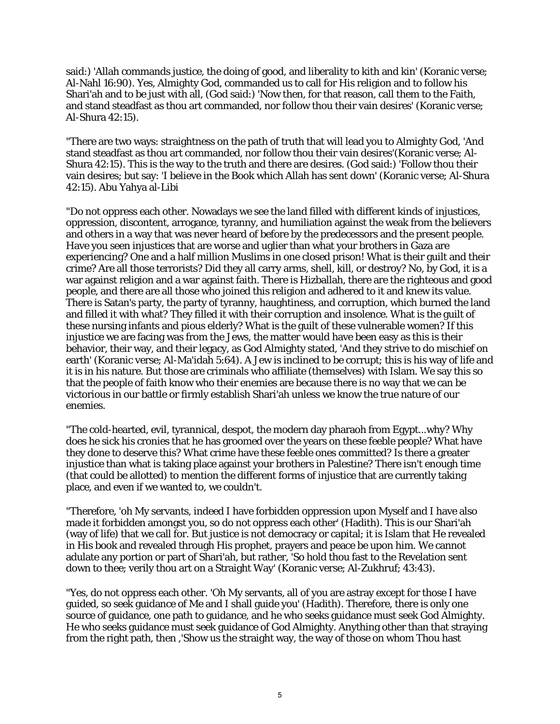said:) 'Allah commands justice, the doing of good, and liberality to kith and kin' (Koranic verse; Al-Nahl 16:90). Yes, Almighty God, commanded us to call for His religion and to follow his Shari'ah and to be just with all, (God said:) 'Now then, for that reason, call them to the Faith, and stand steadfast as thou art commanded, nor follow thou their vain desires' (Koranic verse; Al-Shura 42:15).

"There are two ways: straightness on the path of truth that will lead you to Almighty God, 'And stand steadfast as thou art commanded, nor follow thou their vain desires'(Koranic verse; Al-Shura 42:15). This is the way to the truth and there are desires. (God said:) 'Follow thou their vain desires; but say: 'I believe in the Book which Allah has sent down' (Koranic verse; Al-Shura 42:15). Abu Yahya al-Libi

"Do not oppress each other. Nowadays we see the land filled with different kinds of injustices, oppression, discontent, arrogance, tyranny, and humiliation against the weak from the believers and others in a way that was never heard of before by the predecessors and the present people. Have you seen injustices that are worse and uglier than what your brothers in Gaza are experiencing? One and a half million Muslims in one closed prison! What is their guilt and their crime? Are all those terrorists? Did they all carry arms, shell, kill, or destroy? No, by God, it is a war against religion and a war against faith. There is Hizballah, there are the righteous and good people, and there are all those who joined this religion and adhered to it and knew its value. There is Satan's party, the party of tyranny, haughtiness, and corruption, which burned the land and filled it with what? They filled it with their corruption and insolence. What is the guilt of these nursing infants and pious elderly? What is the guilt of these vulnerable women? If this injustice we are facing was from the Jews, the matter would have been easy as this is their behavior, their way, and their legacy, as God Almighty stated, 'And they strive to do mischief on earth' (Koranic verse; Al-Ma'idah 5:64). A Jew is inclined to be corrupt; this is his way of life and it is in his nature. But those are criminals who affiliate (themselves) with Islam. We say this so that the people of faith know who their enemies are because there is no way that we can be victorious in our battle or firmly establish Shari'ah unless we know the true nature of our enemies.

"The cold-hearted, evil, tyrannical, despot, the modern day pharaoh from Egypt...why? Why does he sick his cronies that he has groomed over the years on these feeble people? What have they done to deserve this? What crime have these feeble ones committed? Is there a greater injustice than what is taking place against your brothers in Palestine? There isn't enough time (that could be allotted) to mention the different forms of injustice that are currently taking place, and even if we wanted to, we couldn't.

"Therefore, 'oh My servants, indeed I have forbidden oppression upon Myself and I have also made it forbidden amongst you, so do not oppress each other' (Hadith). This is our Shari'ah (way of life) that we call for. But justice is not democracy or capital; it is Islam that He revealed in His book and revealed through His prophet, prayers and peace be upon him. We cannot adulate any portion or part of Shari'ah, but rather, 'So hold thou fast to the Revelation sent down to thee; verily thou art on a Straight Way' (Koranic verse; Al-Zukhruf; 43:43).

"Yes, do not oppress each other. 'Oh My servants, all of you are astray except for those I have guided, so seek guidance of Me and I shall guide you' (Hadith). Therefore, there is only one source of guidance, one path to guidance, and he who seeks guidance must seek God Almighty. He who seeks guidance must seek guidance of God Almighty. Anything other than that straying from the right path, then ,'Show us the straight way, the way of those on whom Thou hast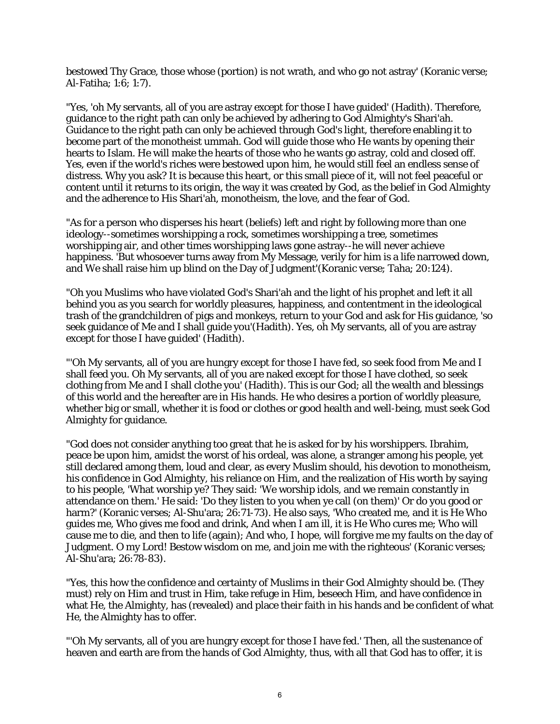bestowed Thy Grace, those whose (portion) is not wrath, and who go not astray' (Koranic verse; Al-Fatiha; 1:6; 1:7).

"Yes, 'oh My servants, all of you are astray except for those I have guided' (Hadith). Therefore, guidance to the right path can only be achieved by adhering to God Almighty's Shari'ah. Guidance to the right path can only be achieved through God's light, therefore enabling it to become part of the monotheist ummah. God will guide those who He wants by opening their hearts to Islam. He will make the hearts of those who he wants go astray, cold and closed off. Yes, even if the world's riches were bestowed upon him, he would still feel an endless sense of distress. Why you ask? It is because this heart, or this small piece of it, will not feel peaceful or content until it returns to its origin, the way it was created by God, as the belief in God Almighty and the adherence to His Shari'ah, monotheism, the love, and the fear of God.

"As for a person who disperses his heart (beliefs) left and right by following more than one ideology--sometimes worshipping a rock, sometimes worshipping a tree, sometimes worshipping air, and other times worshipping laws gone astray--he will never achieve happiness. 'But whosoever turns away from My Message, verily for him is a life narrowed down, and We shall raise him up blind on the Day of Judgment'(Koranic verse; Taha; 20:124).

"Oh you Muslims who have violated God's Shari'ah and the light of his prophet and left it all behind you as you search for worldly pleasures, happiness, and contentment in the ideological trash of the grandchildren of pigs and monkeys, return to your God and ask for His guidance, 'so seek guidance of Me and I shall guide you'(Hadith). Yes, oh My servants, all of you are astray except for those I have guided' (Hadith).

"'Oh My servants, all of you are hungry except for those I have fed, so seek food from Me and I shall feed you. Oh My servants, all of you are naked except for those I have clothed, so seek clothing from Me and I shall clothe you' (Hadith). This is our God; all the wealth and blessings of this world and the hereafter are in His hands. He who desires a portion of worldly pleasure, whether big or small, whether it is food or clothes or good health and well-being, must seek God Almighty for guidance.

"God does not consider anything too great that he is asked for by his worshippers. Ibrahim, peace be upon him, amidst the worst of his ordeal, was alone, a stranger among his people, yet still declared among them, loud and clear, as every Muslim should, his devotion to monotheism, his confidence in God Almighty, his reliance on Him, and the realization of His worth by saying to his people, 'What worship ye? They said: 'We worship idols, and we remain constantly in attendance on them.' He said: 'Do they listen to you when ye call (on them)' Or do you good or harm?' (Koranic verses; Al-Shu'ara; 26:71-73). He also says, 'Who created me, and it is He Who guides me, Who gives me food and drink, And when I am ill, it is He Who cures me; Who will cause me to die, and then to life (again); And who, I hope, will forgive me my faults on the day of Judgment. O my Lord! Bestow wisdom on me, and join me with the righteous' (Koranic verses; Al-Shu'ara; 26:78-83).

"Yes, this how the confidence and certainty of Muslims in their God Almighty should be. (They must) rely on Him and trust in Him, take refuge in Him, beseech Him, and have confidence in what He, the Almighty, has (revealed) and place their faith in his hands and be confident of what He, the Almighty has to offer.

"'Oh My servants, all of you are hungry except for those I have fed.' Then, all the sustenance of heaven and earth are from the hands of God Almighty, thus, with all that God has to offer, it is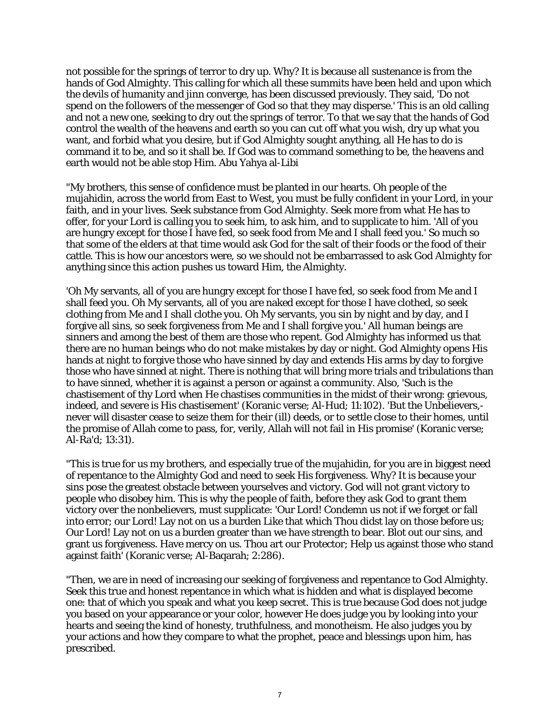not possible for the springs of terror to dry up. Why? It is because all sustenance is from the hands of God Almighty. This calling for which all these summits have been held and upon which the devils of humanity and jinn converge, has been discussed previously. They said, 'Do not spend on the followers of the messenger of God so that they may disperse.' This is an old calling and not a new one, seeking to dry out the springs of terror. To that we say that the hands of God control the wealth of the heavens and earth so you can cut off what you wish, dry up what you want, and forbid what you desire, but if God Almighty sought anything, all He has to do is command it to be, and so it shall be. If God was to command something to be, the heavens and earth would not be able stop Him. Abu Yahya al-Libi

"My brothers, this sense of confidence must be planted in our hearts. Oh people of the mujahidin, across the world from East to West, you must be fully confident in your Lord, in your faith, and in your lives. Seek substance from God Almighty. Seek more from what He has to offer, for your Lord is calling you to seek him, to ask him, and to supplicate to him. 'All of you are hungry except for those I have fed, so seek food from Me and I shall feed you.' So much so that some of the elders at that time would ask God for the salt of their foods or the food of their cattle. This is how our ancestors were, so we should not be embarrassed to ask God Almighty for anything since this action pushes us toward Him, the Almighty.

'Oh My servants, all of you are hungry except for those I have fed, so seek food from Me and I shall feed you. Oh My servants, all of you are naked except for those I have clothed, so seek clothing from Me and I shall clothe you. Oh My servants, you sin by night and by day, and I forgive all sins, so seek forgiveness from Me and I shall forgive you.' All human beings are sinners and among the best of them are those who repent. God Almighty has informed us that there are no human beings who do not make mistakes by day or night. God Almighty opens His hands at night to forgive those who have sinned by day and extends His arms by day to forgive those who have sinned at night. There is nothing that will bring more trials and tribulations than to have sinned, whether it is against a person or against a community. Also, 'Such is the chastisement of thy Lord when He chastises communities in the midst of their wrong: grievous, indeed, and severe is His chastisement' (Koranic verse; Al-Hud; 11:102). 'But the Unbelievers, never will disaster cease to seize them for their (ill) deeds, or to settle close to their homes, until the promise of Allah come to pass, for, verily, Allah will not fail in His promise' (Koranic verse; Al-Ra'd; 13:31).

"This is true for us my brothers, and especially true of the mujahidin, for you are in biggest need of repentance to the Almighty God and need to seek His forgiveness. Why? It is because your sins pose the greatest obstacle between yourselves and victory. God will not grant victory to people who disobey him. This is why the people of faith, before they ask God to grant them victory over the nonbelievers, must supplicate: 'Our Lord! Condemn us not if we forget or fall into error; our Lord! Lay not on us a burden Like that which Thou didst lay on those before us; Our Lord! Lay not on us a burden greater than we have strength to bear. Blot out our sins, and grant us forgiveness. Have mercy on us. Thou art our Protector; Help us against those who stand against faith' (Koranic verse; Al-Baqarah; 2:286).

"Then, we are in need of increasing our seeking of forgiveness and repentance to God Almighty. Seek this true and honest repentance in which what is hidden and what is displayed become one: that of which you speak and what you keep secret. This is true because God does not judge you based on your appearance or your color, however He does judge you by looking into your hearts and seeing the kind of honesty, truthfulness, and monotheism. He also judges you by your actions and how they compare to what the prophet, peace and blessings upon him, has prescribed.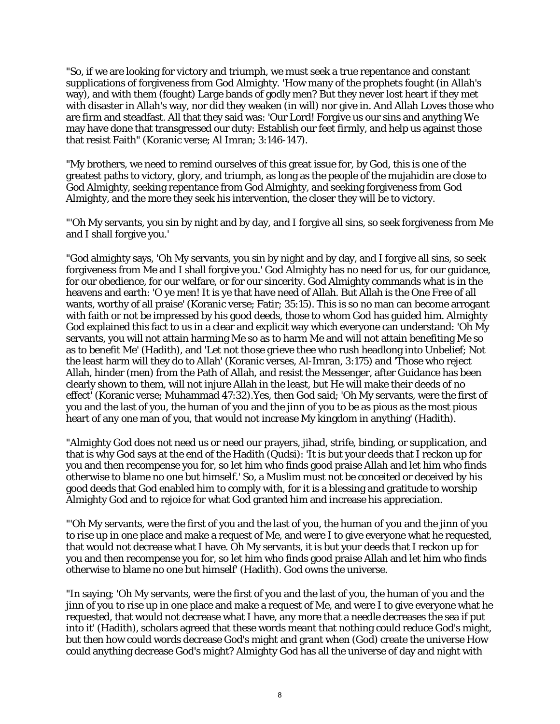"So, if we are looking for victory and triumph, we must seek a true repentance and constant supplications of forgiveness from God Almighty. 'How many of the prophets fought (in Allah's way), and with them (fought) Large bands of godly men? But they never lost heart if they met with disaster in Allah's way, nor did they weaken (in will) nor give in. And Allah Loves those who are firm and steadfast. All that they said was: 'Our Lord! Forgive us our sins and anything We may have done that transgressed our duty: Establish our feet firmly, and help us against those that resist Faith" (Koranic verse; Al Imran; 3:146-147).

"My brothers, we need to remind ourselves of this great issue for, by God, this is one of the greatest paths to victory, glory, and triumph, as long as the people of the mujahidin are close to God Almighty, seeking repentance from God Almighty, and seeking forgiveness from God Almighty, and the more they seek his intervention, the closer they will be to victory.

"'Oh My servants, you sin by night and by day, and I forgive all sins, so seek forgiveness from Me and I shall forgive you.'

"God almighty says, 'Oh My servants, you sin by night and by day, and I forgive all sins, so seek forgiveness from Me and I shall forgive you.' God Almighty has no need for us, for our guidance, for our obedience, for our welfare, or for our sincerity. God Almighty commands what is in the heavens and earth: 'O ye men! It is ye that have need of Allah. But Allah is the One Free of all wants, worthy of all praise' (Koranic verse; Fatir; 35:15). This is so no man can become arrogant with faith or not be impressed by his good deeds, those to whom God has guided him. Almighty God explained this fact to us in a clear and explicit way which everyone can understand: 'Oh My servants, you will not attain harming Me so as to harm Me and will not attain benefiting Me so as to benefit Me' (Hadith), and 'Let not those grieve thee who rush headlong into Unbelief; Not the least harm will they do to Allah' (Koranic verses, Al-Imran, 3:175) and 'Those who reject Allah, hinder (men) from the Path of Allah, and resist the Messenger, after Guidance has been clearly shown to them, will not injure Allah in the least, but He will make their deeds of no effect' (Koranic verse; Muhammad 47:32).Yes, then God said; 'Oh My servants, were the first of you and the last of you, the human of you and the jinn of you to be as pious as the most pious heart of any one man of you, that would not increase My kingdom in anything' (Hadith).

"Almighty God does not need us or need our prayers, jihad, strife, binding, or supplication, and that is why God says at the end of the Hadith (Qudsi): 'It is but your deeds that I reckon up for you and then recompense you for, so let him who finds good praise Allah and let him who finds otherwise to blame no one but himself.' So, a Muslim must not be conceited or deceived by his good deeds that God enabled him to comply with, for it is a blessing and gratitude to worship Almighty God and to rejoice for what God granted him and increase his appreciation.

"'Oh My servants, were the first of you and the last of you, the human of you and the jinn of you to rise up in one place and make a request of Me, and were I to give everyone what he requested, that would not decrease what I have. Oh My servants, it is but your deeds that I reckon up for you and then recompense you for, so let him who finds good praise Allah and let him who finds otherwise to blame no one but himself' (Hadith). God owns the universe.

"In saying; 'Oh My servants, were the first of you and the last of you, the human of you and the jinn of you to rise up in one place and make a request of Me, and were I to give everyone what he requested, that would not decrease what I have, any more that a needle decreases the sea if put into it' (Hadith), scholars agreed that these words meant that nothing could reduce God's might, but then how could words decrease God's might and grant when (God) create the universe How could anything decrease God's might? Almighty God has all the universe of day and night with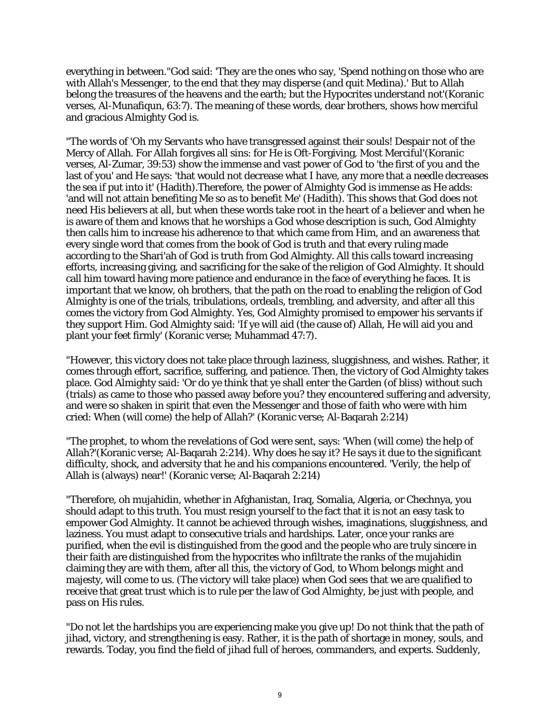everything in between."God said: 'They are the ones who say, 'Spend nothing on those who are with Allah's Messenger, to the end that they may disperse (and quit Medina).' But to Allah belong the treasures of the heavens and the earth; but the Hypocrites understand not'(Koranic verses, Al-Munafiqun, 63:7). The meaning of these words, dear brothers, shows how merciful and gracious Almighty God is.

"The words of 'Oh my Servants who have transgressed against their souls! Despair not of the Mercy of Allah. For Allah forgives all sins: for He is Oft-Forgiving, Most Merciful'(Koranic verses, Al-Zumar, 39:53) show the immense and vast power of God to 'the first of you and the last of you' and He says: 'that would not decrease what I have, any more that a needle decreases the sea if put into it' (Hadith).Therefore, the power of Almighty God is immense as He adds: 'and will not attain benefiting Me so as to benefit Me' (Hadith). This shows that God does not need His believers at all, but when these words take root in the heart of a believer and when he is aware of them and knows that he worships a God whose description is such, God Almighty then calls him to increase his adherence to that which came from Him, and an awareness that every single word that comes from the book of God is truth and that every ruling made according to the Shari'ah of God is truth from God Almighty. All this calls toward increasing efforts, increasing giving, and sacrificing for the sake of the religion of God Almighty. It should call him toward having more patience and endurance in the face of everything he faces. It is important that we know, oh brothers, that the path on the road to enabling the religion of God Almighty is one of the trials, tribulations, ordeals, trembling, and adversity, and after all this comes the victory from God Almighty. Yes, God Almighty promised to empower his servants if they support Him. God Almighty said: 'If ye will aid (the cause of) Allah, He will aid you and plant your feet firmly' (Koranic verse; Muhammad 47:7).

"However, this victory does not take place through laziness, sluggishness, and wishes. Rather, it comes through effort, sacrifice, suffering, and patience. Then, the victory of God Almighty takes place. God Almighty said: 'Or do ye think that ye shall enter the Garden (of bliss) without such (trials) as came to those who passed away before you? they encountered suffering and adversity, and were so shaken in spirit that even the Messenger and those of faith who were with him cried: When (will come) the help of Allah?' (Koranic verse; Al-Baqarah 2:214)

"The prophet, to whom the revelations of God were sent, says: 'When (will come) the help of Allah?'(Koranic verse; Al-Baqarah 2:214). Why does he say it? He says it due to the significant difficulty, shock, and adversity that he and his companions encountered. 'Verily, the help of Allah is (always) near!' (Koranic verse; Al-Baqarah 2:214)

"Therefore, oh mujahidin, whether in Afghanistan, Iraq, Somalia, Algeria, or Chechnya, you should adapt to this truth. You must resign yourself to the fact that it is not an easy task to empower God Almighty. It cannot be achieved through wishes, imaginations, sluggishness, and laziness. You must adapt to consecutive trials and hardships. Later, once your ranks are purified, when the evil is distinguished from the good and the people who are truly sincere in their faith are distinguished from the hypocrites who infiltrate the ranks of the mujahidin claiming they are with them, after all this, the victory of God, to Whom belongs might and majesty, will come to us. (The victory will take place) when God sees that we are qualified to receive that great trust which is to rule per the law of God Almighty, be just with people, and pass on His rules.

"Do not let the hardships you are experiencing make you give up! Do not think that the path of jihad, victory, and strengthening is easy. Rather, it is the path of shortage in money, souls, and rewards. Today, you find the field of jihad full of heroes, commanders, and experts. Suddenly,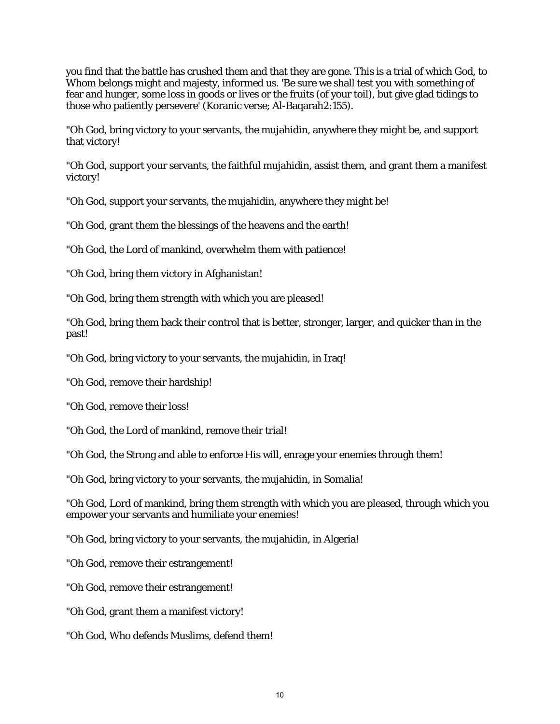you find that the battle has crushed them and that they are gone. This is a trial of which God, to Whom belongs might and majesty, informed us. 'Be sure we shall test you with something of fear and hunger, some loss in goods or lives or the fruits (of your toil), but give glad tidings to those who patiently persevere' (Koranic verse; Al-Baqarah2:155).

"Oh God, bring victory to your servants, the mujahidin, anywhere they might be, and support that victory!

"Oh God, support your servants, the faithful mujahidin, assist them, and grant them a manifest victory!

"Oh God, support your servants, the mujahidin, anywhere they might be!

"Oh God, grant them the blessings of the heavens and the earth!

"Oh God, the Lord of mankind, overwhelm them with patience!

"Oh God, bring them victory in Afghanistan!

"Oh God, bring them strength with which you are pleased!

"Oh God, bring them back their control that is better, stronger, larger, and quicker than in the past!

"Oh God, bring victory to your servants, the mujahidin, in Iraq!

"Oh God, remove their hardship!

"Oh God, remove their loss!

"Oh God, the Lord of mankind, remove their trial!

"Oh God, the Strong and able to enforce His will, enrage your enemies through them!

"Oh God, bring victory to your servants, the mujahidin, in Somalia!

"Oh God, Lord of mankind, bring them strength with which you are pleased, through which you empower your servants and humiliate your enemies!

"Oh God, bring victory to your servants, the mujahidin, in Algeria!

"Oh God, remove their estrangement!

"Oh God, remove their estrangement!

"Oh God, grant them a manifest victory!

"Oh God, Who defends Muslims, defend them!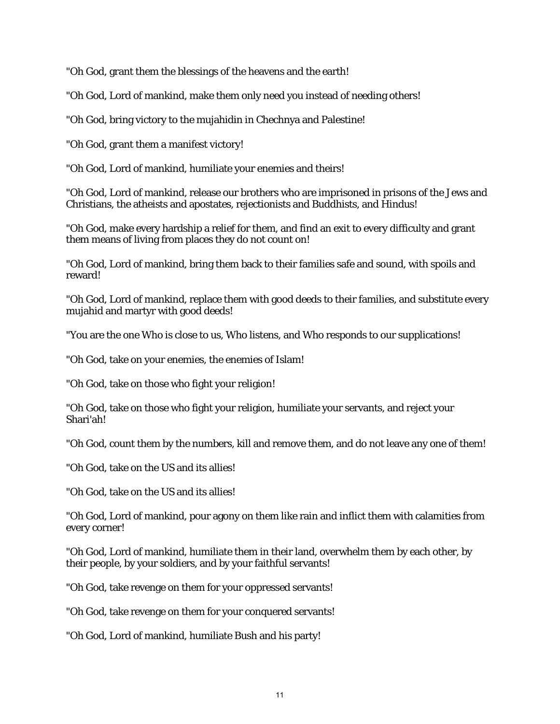"Oh God, grant them the blessings of the heavens and the earth!

"Oh God, Lord of mankind, make them only need you instead of needing others!

"Oh God, bring victory to the mujahidin in Chechnya and Palestine!

"Oh God, grant them a manifest victory!

"Oh God, Lord of mankind, humiliate your enemies and theirs!

"Oh God, Lord of mankind, release our brothers who are imprisoned in prisons of the Jews and Christians, the atheists and apostates, rejectionists and Buddhists, and Hindus!

"Oh God, make every hardship a relief for them, and find an exit to every difficulty and grant them means of living from places they do not count on!

"Oh God, Lord of mankind, bring them back to their families safe and sound, with spoils and reward!

"Oh God, Lord of mankind, replace them with good deeds to their families, and substitute every mujahid and martyr with good deeds!

"You are the one Who is close to us, Who listens, and Who responds to our supplications!

"Oh God, take on your enemies, the enemies of Islam!

"Oh God, take on those who fight your religion!

"Oh God, take on those who fight your religion, humiliate your servants, and reject your Shari'ah!

"Oh God, count them by the numbers, kill and remove them, and do not leave any one of them!

"Oh God, take on the US and its allies!

"Oh God, take on the US and its allies!

"Oh God, Lord of mankind, pour agony on them like rain and inflict them with calamities from every corner!

"Oh God, Lord of mankind, humiliate them in their land, overwhelm them by each other, by their people, by your soldiers, and by your faithful servants!

"Oh God, take revenge on them for your oppressed servants!

"Oh God, take revenge on them for your conquered servants!

"Oh God, Lord of mankind, humiliate Bush and his party!